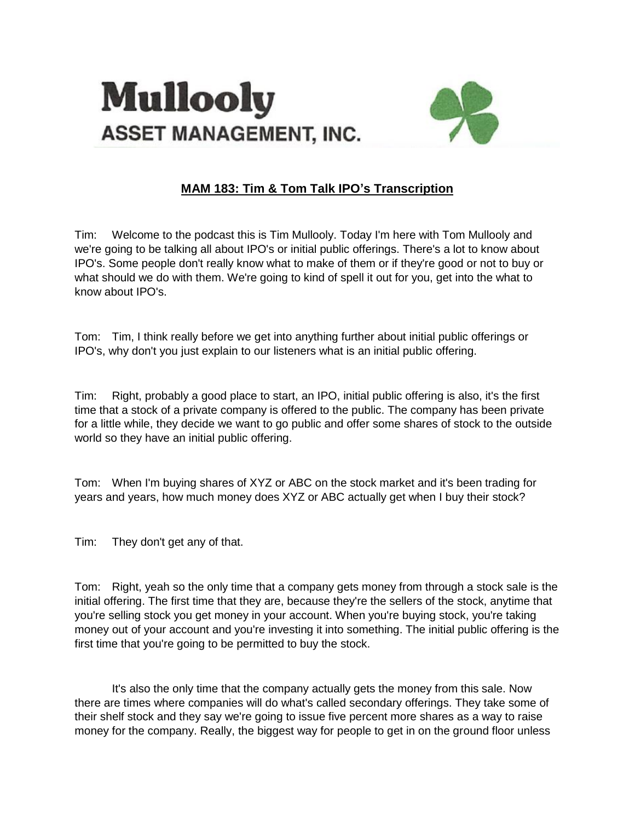



## **MAM 183: Tim & Tom Talk IPO's Transcription**

Tim: Welcome to the podcast this is Tim Mullooly. Today I'm here with Tom Mullooly and we're going to be talking all about IPO's or initial public offerings. There's a lot to know about IPO's. Some people don't really know what to make of them or if they're good or not to buy or what should we do with them. We're going to kind of spell it out for you, get into the what to know about IPO's.

Tom: Tim, I think really before we get into anything further about initial public offerings or IPO's, why don't you just explain to our listeners what is an initial public offering.

Tim: Right, probably a good place to start, an IPO, initial public offering is also, it's the first time that a stock of a private company is offered to the public. The company has been private for a little while, they decide we want to go public and offer some shares of stock to the outside world so they have an initial public offering.

Tom: When I'm buying shares of XYZ or ABC on the stock market and it's been trading for years and years, how much money does XYZ or ABC actually get when I buy their stock?

Tim: They don't get any of that.

Tom: Right, yeah so the only time that a company gets money from through a stock sale is the initial offering. The first time that they are, because they're the sellers of the stock, anytime that you're selling stock you get money in your account. When you're buying stock, you're taking money out of your account and you're investing it into something. The initial public offering is the first time that you're going to be permitted to buy the stock.

It's also the only time that the company actually gets the money from this sale. Now there are times where companies will do what's called secondary offerings. They take some of their shelf stock and they say we're going to issue five percent more shares as a way to raise money for the company. Really, the biggest way for people to get in on the ground floor unless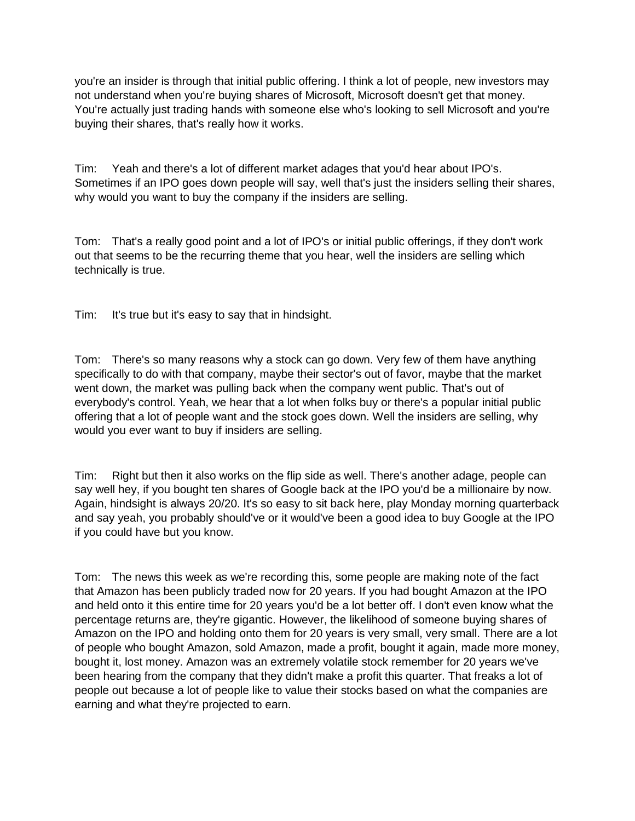you're an insider is through that initial public offering. I think a lot of people, new investors may not understand when you're buying shares of Microsoft, Microsoft doesn't get that money. You're actually just trading hands with someone else who's looking to sell Microsoft and you're buying their shares, that's really how it works.

Tim: Yeah and there's a lot of different market adages that you'd hear about IPO's. Sometimes if an IPO goes down people will say, well that's just the insiders selling their shares, why would you want to buy the company if the insiders are selling.

Tom: That's a really good point and a lot of IPO's or initial public offerings, if they don't work out that seems to be the recurring theme that you hear, well the insiders are selling which technically is true.

Tim: It's true but it's easy to say that in hindsight.

Tom: There's so many reasons why a stock can go down. Very few of them have anything specifically to do with that company, maybe their sector's out of favor, maybe that the market went down, the market was pulling back when the company went public. That's out of everybody's control. Yeah, we hear that a lot when folks buy or there's a popular initial public offering that a lot of people want and the stock goes down. Well the insiders are selling, why would you ever want to buy if insiders are selling.

Tim: Right but then it also works on the flip side as well. There's another adage, people can say well hey, if you bought ten shares of Google back at the IPO you'd be a millionaire by now. Again, hindsight is always 20/20. It's so easy to sit back here, play Monday morning quarterback and say yeah, you probably should've or it would've been a good idea to buy Google at the IPO if you could have but you know.

Tom: The news this week as we're recording this, some people are making note of the fact that Amazon has been publicly traded now for 20 years. If you had bought Amazon at the IPO and held onto it this entire time for 20 years you'd be a lot better off. I don't even know what the percentage returns are, they're gigantic. However, the likelihood of someone buying shares of Amazon on the IPO and holding onto them for 20 years is very small, very small. There are a lot of people who bought Amazon, sold Amazon, made a profit, bought it again, made more money, bought it, lost money. Amazon was an extremely volatile stock remember for 20 years we've been hearing from the company that they didn't make a profit this quarter. That freaks a lot of people out because a lot of people like to value their stocks based on what the companies are earning and what they're projected to earn.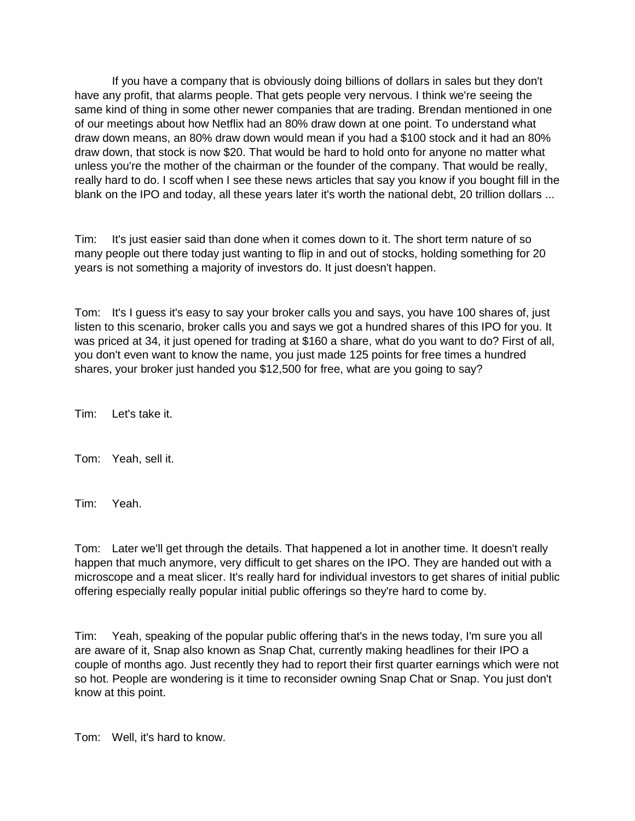If you have a company that is obviously doing billions of dollars in sales but they don't have any profit, that alarms people. That gets people very nervous. I think we're seeing the same kind of thing in some other newer companies that are trading. Brendan mentioned in one of our meetings about how Netflix had an 80% draw down at one point. To understand what draw down means, an 80% draw down would mean if you had a \$100 stock and it had an 80% draw down, that stock is now \$20. That would be hard to hold onto for anyone no matter what unless you're the mother of the chairman or the founder of the company. That would be really, really hard to do. I scoff when I see these news articles that say you know if you bought fill in the blank on the IPO and today, all these years later it's worth the national debt, 20 trillion dollars ...

Tim: It's just easier said than done when it comes down to it. The short term nature of so many people out there today just wanting to flip in and out of stocks, holding something for 20 years is not something a majority of investors do. It just doesn't happen.

Tom: It's I guess it's easy to say your broker calls you and says, you have 100 shares of, just listen to this scenario, broker calls you and says we got a hundred shares of this IPO for you. It was priced at 34, it just opened for trading at \$160 a share, what do you want to do? First of all, you don't even want to know the name, you just made 125 points for free times a hundred shares, your broker just handed you \$12,500 for free, what are you going to say?

Tim: Let's take it.

Tom: Yeah, sell it.

Tim: Yeah.

Tom: Later we'll get through the details. That happened a lot in another time. It doesn't really happen that much anymore, very difficult to get shares on the IPO. They are handed out with a microscope and a meat slicer. It's really hard for individual investors to get shares of initial public offering especially really popular initial public offerings so they're hard to come by.

Tim: Yeah, speaking of the popular public offering that's in the news today, I'm sure you all are aware of it, Snap also known as Snap Chat, currently making headlines for their IPO a couple of months ago. Just recently they had to report their first quarter earnings which were not so hot. People are wondering is it time to reconsider owning Snap Chat or Snap. You just don't know at this point.

Tom: Well, it's hard to know.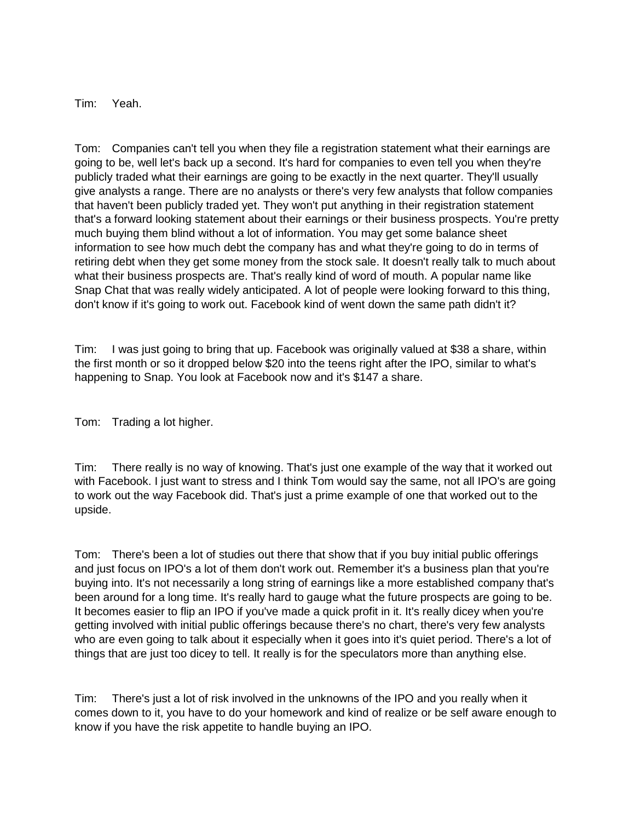Tim: Yeah.

Tom: Companies can't tell you when they file a registration statement what their earnings are going to be, well let's back up a second. It's hard for companies to even tell you when they're publicly traded what their earnings are going to be exactly in the next quarter. They'll usually give analysts a range. There are no analysts or there's very few analysts that follow companies that haven't been publicly traded yet. They won't put anything in their registration statement that's a forward looking statement about their earnings or their business prospects. You're pretty much buying them blind without a lot of information. You may get some balance sheet information to see how much debt the company has and what they're going to do in terms of retiring debt when they get some money from the stock sale. It doesn't really talk to much about what their business prospects are. That's really kind of word of mouth. A popular name like Snap Chat that was really widely anticipated. A lot of people were looking forward to this thing, don't know if it's going to work out. Facebook kind of went down the same path didn't it?

Tim: I was just going to bring that up. Facebook was originally valued at \$38 a share, within the first month or so it dropped below \$20 into the teens right after the IPO, similar to what's happening to Snap. You look at Facebook now and it's \$147 a share.

Tom: Trading a lot higher.

Tim: There really is no way of knowing. That's just one example of the way that it worked out with Facebook. I just want to stress and I think Tom would say the same, not all IPO's are going to work out the way Facebook did. That's just a prime example of one that worked out to the upside.

Tom: There's been a lot of studies out there that show that if you buy initial public offerings and just focus on IPO's a lot of them don't work out. Remember it's a business plan that you're buying into. It's not necessarily a long string of earnings like a more established company that's been around for a long time. It's really hard to gauge what the future prospects are going to be. It becomes easier to flip an IPO if you've made a quick profit in it. It's really dicey when you're getting involved with initial public offerings because there's no chart, there's very few analysts who are even going to talk about it especially when it goes into it's quiet period. There's a lot of things that are just too dicey to tell. It really is for the speculators more than anything else.

Tim: There's just a lot of risk involved in the unknowns of the IPO and you really when it comes down to it, you have to do your homework and kind of realize or be self aware enough to know if you have the risk appetite to handle buying an IPO.